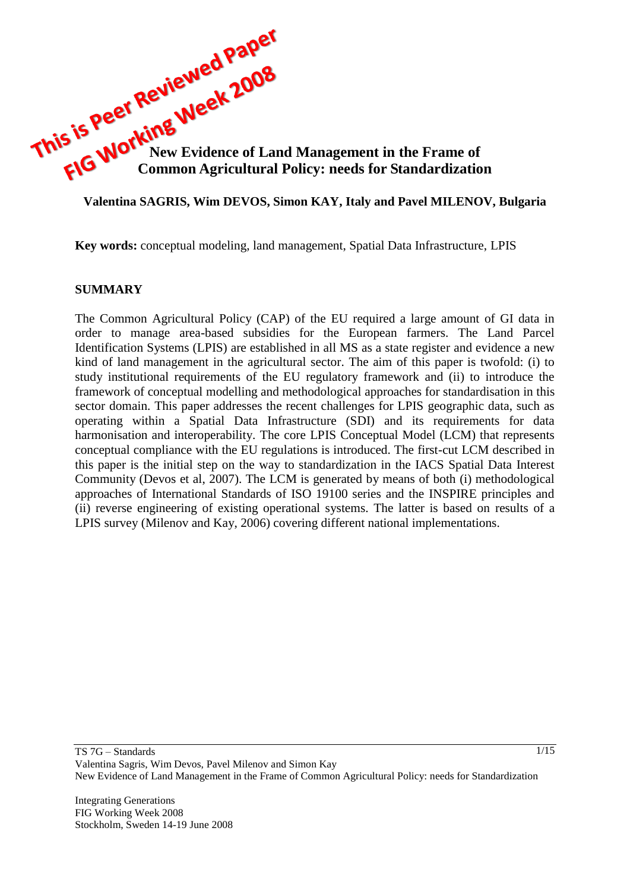

### **Valentina SAGRIS, Wim DEVOS, Simon KAY, Italy and Pavel MILENOV, Bulgaria**

**Key words:** conceptual modeling, land management, Spatial Data Infrastructure, LPIS

#### **SUMMARY**

The Common Agricultural Policy (CAP) of the EU required a large amount of GI data in order to manage area-based subsidies for the European farmers. The Land Parcel Identification Systems (LPIS) are established in all MS as a state register and evidence a new kind of land management in the agricultural sector. The aim of this paper is twofold: (i) to study institutional requirements of the EU regulatory framework and (ii) to introduce the framework of conceptual modelling and methodological approaches for standardisation in this sector domain. This paper addresses the recent challenges for LPIS geographic data, such as operating within a Spatial Data Infrastructure (SDI) and its requirements for data harmonisation and interoperability. The core LPIS Conceptual Model (LCM) that represents conceptual compliance with the EU regulations is introduced. The first-cut LCM described in this paper is the initial step on the way to standardization in the IACS Spatial Data Interest Community (Devos et al, 2007). The LCM is generated by means of both (i) methodological approaches of International Standards of ISO 19100 series and the INSPIRE principles and (ii) reverse engineering of existing operational systems. The latter is based on results of a LPIS survey (Milenov and Kay, 2006) covering different national implementations.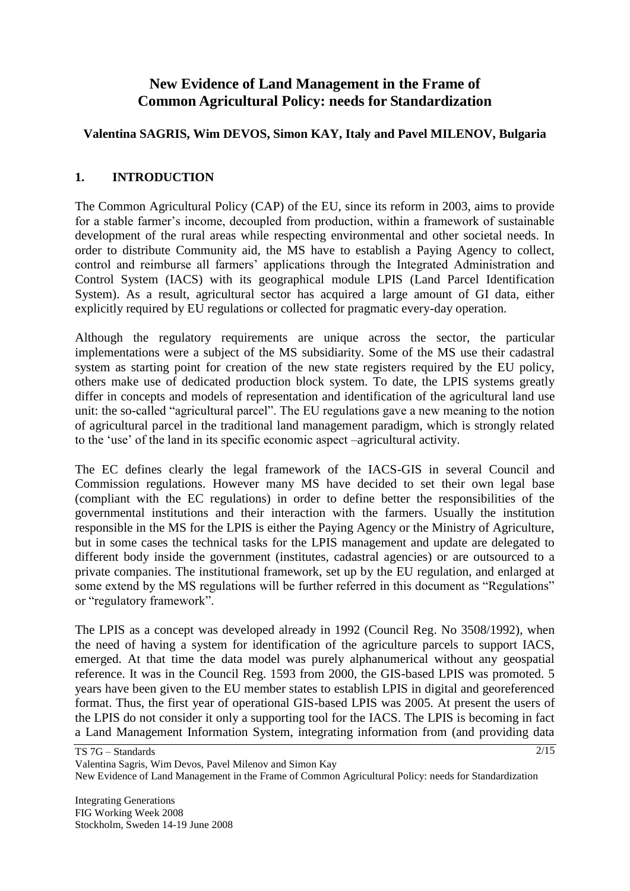# **New Evidence of Land Management in the Frame of Common Agricultural Policy: needs for Standardization**

## **Valentina SAGRIS, Wim DEVOS, Simon KAY, Italy and Pavel MILENOV, Bulgaria**

## **1. INTRODUCTION**

The Common Agricultural Policy (CAP) of the EU, since its reform in 2003, aims to provide for a stable farmer's income, decoupled from production, within a framework of sustainable development of the rural areas while respecting environmental and other societal needs. In order to distribute Community aid, the MS have to establish a Paying Agency to collect, control and reimburse all farmers' applications through the Integrated Administration and Control System (IACS) with its geographical module LPIS (Land Parcel Identification System). As a result, agricultural sector has acquired a large amount of GI data, either explicitly required by EU regulations or collected for pragmatic every-day operation.

Although the regulatory requirements are unique across the sector, the particular implementations were a subject of the MS subsidiarity. Some of the MS use their cadastral system as starting point for creation of the new state registers required by the EU policy, others make use of dedicated production block system. To date, the LPIS systems greatly differ in concepts and models of representation and identification of the agricultural land use unit: the so-called "agricultural parcel". The EU regulations gave a new meaning to the notion of agricultural parcel in the traditional land management paradigm, which is strongly related to the "use" of the land in its specific economic aspect –agricultural activity.

The EC defines clearly the legal framework of the IACS-GIS in several Council and Commission regulations. However many MS have decided to set their own legal base (compliant with the EC regulations) in order to define better the responsibilities of the governmental institutions and their interaction with the farmers. Usually the institution responsible in the MS for the LPIS is either the Paying Agency or the Ministry of Agriculture, but in some cases the technical tasks for the LPIS management and update are delegated to different body inside the government (institutes, cadastral agencies) or are outsourced to a private companies. The institutional framework, set up by the EU regulation, and enlarged at some extend by the MS regulations will be further referred in this document as "Regulations" or "regulatory framework".

The LPIS as a concept was developed already in 1992 (Council Reg. No 3508/1992), when the need of having a system for identification of the agriculture parcels to support IACS, emerged. At that time the data model was purely alphanumerical without any geospatial reference. It was in the Council Reg. 1593 from 2000, the GIS-based LPIS was promoted. 5 years have been given to the EU member states to establish LPIS in digital and georeferenced format. Thus, the first year of operational GIS-based LPIS was 2005. At present the users of the LPIS do not consider it only a supporting tool for the IACS. The LPIS is becoming in fact a Land Management Information System, integrating information from (and providing data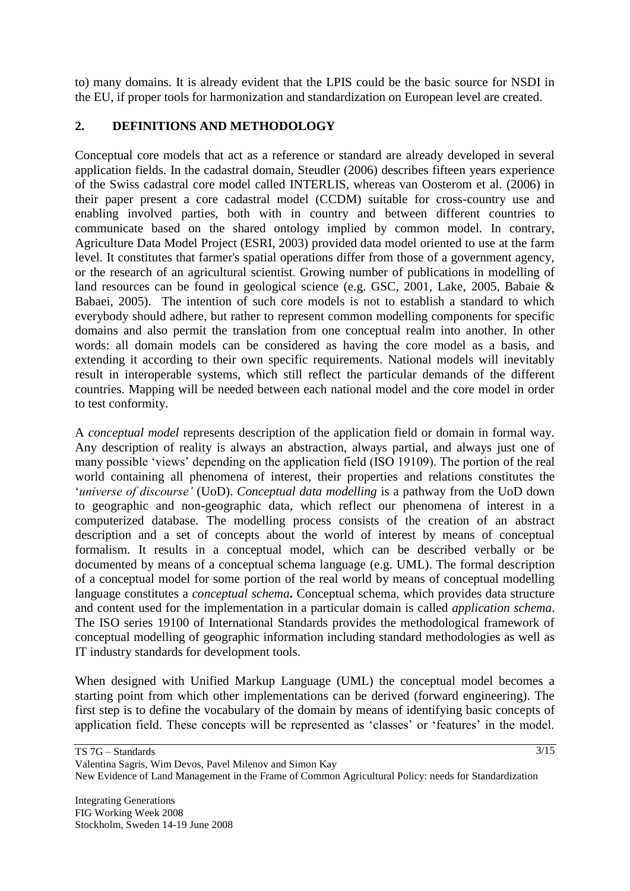to) many domains. It is already evident that the LPIS could be the basic source for NSDI in the EU, if proper tools for harmonization and standardization on European level are created.

## **2. DEFINITIONS AND METHODOLOGY**

Conceptual core models that act as a reference or standard are already developed in several application fields. In the cadastral domain, Steudler (2006) describes fifteen years experience of the Swiss cadastral core model called INTERLIS, whereas van Oosterom et al. (2006) in their paper present a core cadastral model (CCDM) suitable for cross-country use and enabling involved parties, both with in country and between different countries to communicate based on the shared ontology implied by common model. In contrary, Agriculture Data Model Project (ESRI, 2003) provided data model oriented to use at the farm level. It constitutes that farmer's spatial operations differ from those of a government agency, or the research of an agricultural scientist. Growing number of publications in modelling of land resources can be found in geological science (e.g. GSC, 2001, Lake, 2005, Babaie & Babaei, 2005). The intention of such core models is not to establish a standard to which everybody should adhere, but rather to represent common modelling components for specific domains and also permit the translation from one conceptual realm into another. In other words: all domain models can be considered as having the core model as a basis, and extending it according to their own specific requirements. National models will inevitably result in interoperable systems, which still reflect the particular demands of the different countries. Mapping will be needed between each national model and the core model in order to test conformity.

A *conceptual model* represents description of the application field or domain in formal way. Any description of reality is always an abstraction, always partial, and always just one of many possible "views" depending on the application field (ISO 19109). The portion of the real world containing all phenomena of interest, their properties and relations constitutes the "*universe of discourse'* (UoD). *Conceptual data modelling* is a pathway from the UoD down to geographic and non-geographic data, which reflect our phenomena of interest in a computerized database. The modelling process consists of the creation of an abstract description and a set of concepts about the world of interest by means of conceptual formalism. It results in a conceptual model, which can be described verbally or be documented by means of a conceptual schema language (e.g. UML). The formal description of a conceptual model for some portion of the real world by means of conceptual modelling language constitutes a *conceptual schema***.** Conceptual schema, which provides data structure and content used for the implementation in a particular domain is called *application schema*. The ISO series 19100 of International Standards provides the methodological framework of conceptual modelling of geographic information including standard methodologies as well as IT industry standards for development tools.

When designed with Unified Markup Language (UML) the conceptual model becomes a starting point from which other implementations can be derived (forward engineering). The first step is to define the vocabulary of the domain by means of identifying basic concepts of application field. These concepts will be represented as 'classes' or 'features' in the model.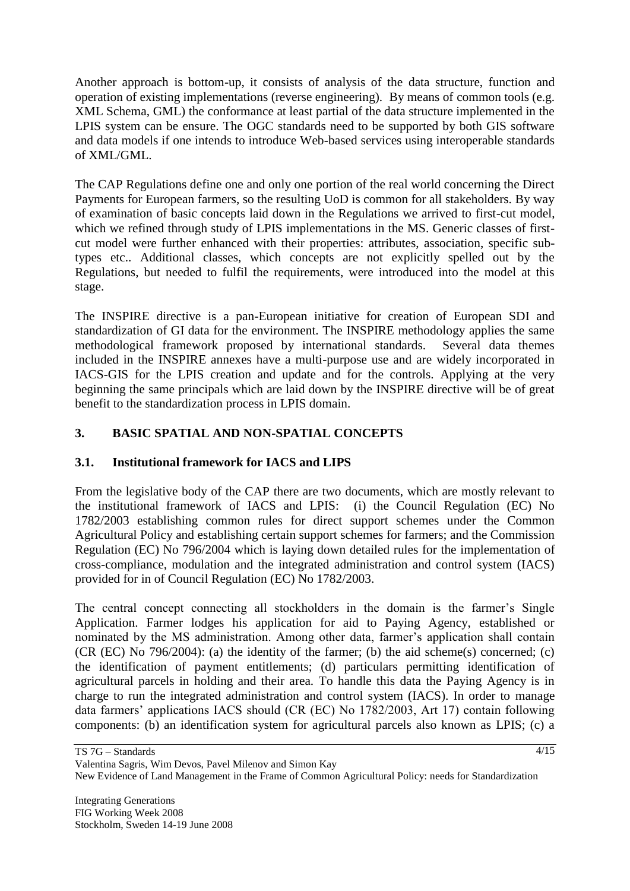Another approach is bottom-up, it consists of analysis of the data structure, function and operation of existing implementations (reverse engineering). By means of common tools (e.g. XML Schema, GML) the conformance at least partial of the data structure implemented in the LPIS system can be ensure. The OGC standards need to be supported by both GIS software and data models if one intends to introduce Web-based services using interoperable standards of XML/GML.

The CAP Regulations define one and only one portion of the real world concerning the Direct Payments for European farmers, so the resulting UoD is common for all stakeholders. By way of examination of basic concepts laid down in the Regulations we arrived to first-cut model, which we refined through study of LPIS implementations in the MS. Generic classes of firstcut model were further enhanced with their properties: attributes, association, specific subtypes etc.. Additional classes, which concepts are not explicitly spelled out by the Regulations, but needed to fulfil the requirements, were introduced into the model at this stage.

The INSPIRE directive is a pan-European initiative for creation of European SDI and standardization of GI data for the environment. The INSPIRE methodology applies the same methodological framework proposed by international standards. Several data themes included in the INSPIRE annexes have a multi-purpose use and are widely incorporated in IACS-GIS for the LPIS creation and update and for the controls. Applying at the very beginning the same principals which are laid down by the INSPIRE directive will be of great benefit to the standardization process in LPIS domain.

## **3. BASIC SPATIAL AND NON-SPATIAL CONCEPTS**

## **3.1. Institutional framework for IACS and LIPS**

From the legislative body of the CAP there are two documents, which are mostly relevant to the institutional framework of IACS and LPIS: (i) the Council Regulation (EC) No 1782/2003 establishing common rules for direct support schemes under the Common Agricultural Policy and establishing certain support schemes for farmers; and the Commission Regulation (EC) No 796/2004 which is laying down detailed rules for the implementation of cross-compliance, modulation and the integrated administration and control system (IACS) provided for in of Council Regulation (EC) No 1782/2003.

The central concept connecting all stockholders in the domain is the farmer's Single Application. Farmer lodges his application for aid to Paying Agency, established or nominated by the MS administration. Among other data, farmer's application shall contain (CR (EC) No 796/2004): (a) the identity of the farmer; (b) the aid scheme(s) concerned; (c) the identification of payment entitlements; (d) particulars permitting identification of agricultural parcels in holding and their area. To handle this data the Paying Agency is in charge to run the integrated administration and control system (IACS). In order to manage data farmers' applications IACS should (CR (EC) No 1782/2003, Art 17) contain following components: (b) an identification system for agricultural parcels also known as LPIS; (c) a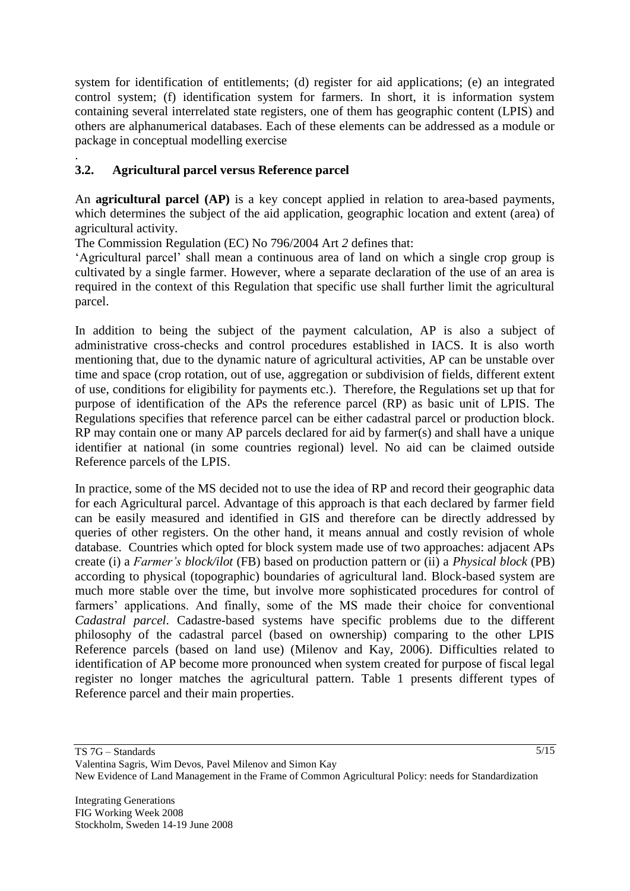system for identification of entitlements; (d) register for aid applications; (e) an integrated control system; (f) identification system for farmers. In short, it is information system containing several interrelated state registers, one of them has geographic content (LPIS) and others are alphanumerical databases. Each of these elements can be addressed as a module or package in conceptual modelling exercise

### . **3.2. Agricultural parcel versus Reference parcel**

An **agricultural parcel (AP)** is a key concept applied in relation to area-based payments, which determines the subject of the aid application, geographic location and extent (area) of agricultural activity.

The Commission Regulation (EC) No 796/2004 Art *2* defines that:

"Agricultural parcel" shall mean a continuous area of land on which a single crop group is cultivated by a single farmer. However, where a separate declaration of the use of an area is required in the context of this Regulation that specific use shall further limit the agricultural parcel.

In addition to being the subject of the payment calculation, AP is also a subject of administrative cross-checks and control procedures established in IACS. It is also worth mentioning that, due to the dynamic nature of agricultural activities, AP can be unstable over time and space (crop rotation, out of use, aggregation or subdivision of fields, different extent of use, conditions for eligibility for payments etc.). Therefore, the Regulations set up that for purpose of identification of the APs the reference parcel (RP) as basic unit of LPIS. The Regulations specifies that reference parcel can be either cadastral parcel or production block. RP may contain one or many AP parcels declared for aid by farmer(s) and shall have a unique identifier at national (in some countries regional) level. No aid can be claimed outside Reference parcels of the LPIS.

In practice, some of the MS decided not to use the idea of RP and record their geographic data for each Agricultural parcel. Advantage of this approach is that each declared by farmer field can be easily measured and identified in GIS and therefore can be directly addressed by queries of other registers. On the other hand, it means annual and costly revision of whole database. Countries which opted for block system made use of two approaches: adjacent APs create (i) a *Farmer's block/ilot* (FB) based on production pattern or (ii) a *Physical block* (PB) according to physical (topographic) boundaries of agricultural land. Block-based system are much more stable over the time, but involve more sophisticated procedures for control of farmers" applications. And finally, some of the MS made their choice for conventional *Cadastral parcel*. Cadastre-based systems have specific problems due to the different philosophy of the cadastral parcel (based on ownership) comparing to the other LPIS Reference parcels (based on land use) (Milenov and Kay, 2006). Difficulties related to identification of AP become more pronounced when system created for purpose of fiscal legal register no longer matches the agricultural pattern. Table 1 presents different types of Reference parcel and their main properties.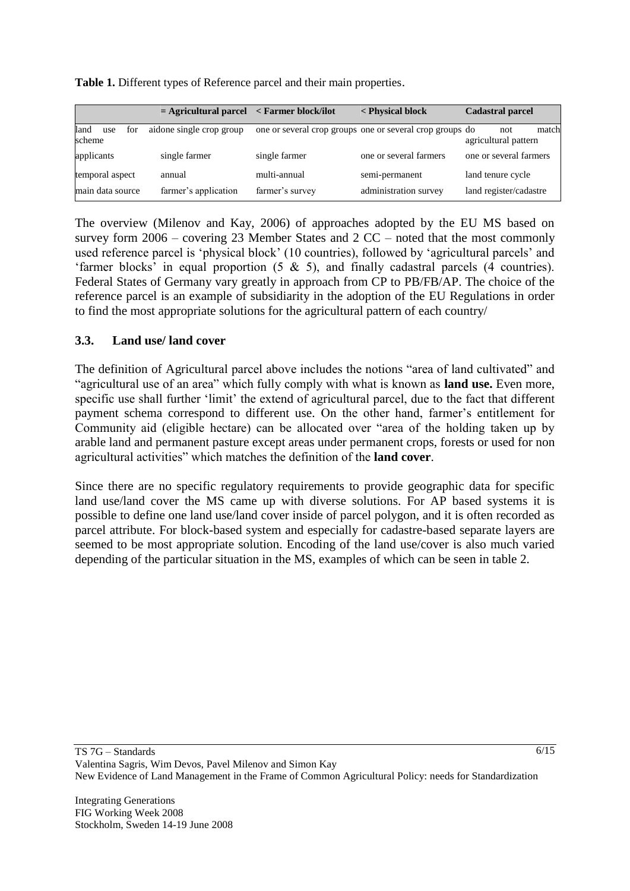|                              | $=$ Agricultural parcel $\leq$ Farmer block/ilot |                 | < Physical block                                         | <b>Cadastral parcel</b>              |
|------------------------------|--------------------------------------------------|-----------------|----------------------------------------------------------|--------------------------------------|
| land<br>for<br>use<br>scheme | aidone single crop group                         |                 | one or several crop groups one or several crop groups do | match<br>not<br>agricultural pattern |
| applicants                   | single farmer                                    | single farmer   | one or several farmers                                   | one or several farmers               |
| temporal aspect              | annual                                           | multi-annual    | semi-permanent                                           | land tenure cycle                    |
| main data source             | farmer's application                             | farmer's survey | administration survey                                    | land register/cadastre               |

**Table 1.** Different types of Reference parcel and their main properties.

The overview (Milenov and Kay, 2006) of approaches adopted by the EU MS based on survey form 2006 – covering 23 Member States and 2 CC – noted that the most commonly used reference parcel is "physical block" (10 countries), followed by "agricultural parcels" and 'farmer blocks' in equal proportion  $(5 \& 5)$ , and finally cadastral parcels  $(4 \text{ countries})$ . Federal States of Germany vary greatly in approach from CP to PB/FB/AP. The choice of the reference parcel is an example of subsidiarity in the adoption of the EU Regulations in order to find the most appropriate solutions for the agricultural pattern of each country/

### **3.3. Land use/ land cover**

The definition of Agricultural parcel above includes the notions "area of land cultivated" and "agricultural use of an area" which fully comply with what is known as **land use.** Even more, specific use shall further 'limit' the extend of agricultural parcel, due to the fact that different payment schema correspond to different use. On the other hand, farmer"s entitlement for Community aid (eligible hectare) can be allocated over "area of the holding taken up by arable land and permanent pasture except areas under permanent crops, forests or used for non agricultural activities" which matches the definition of the **land cover**.

Since there are no specific regulatory requirements to provide geographic data for specific land use/land cover the MS came up with diverse solutions. For AP based systems it is possible to define one land use/land cover inside of parcel polygon, and it is often recorded as parcel attribute. For block-based system and especially for cadastre-based separate layers are seemed to be most appropriate solution. Encoding of the land use/cover is also much varied depending of the particular situation in the MS, examples of which can be seen in table 2.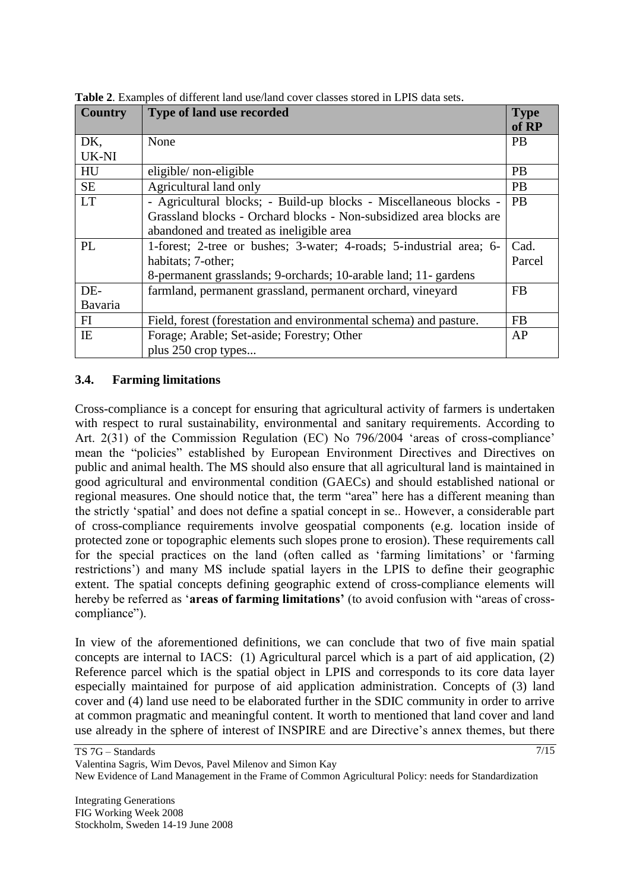| <b>Country</b> | Type of land use recorded                                           | <b>Type</b><br>of RP |
|----------------|---------------------------------------------------------------------|----------------------|
| DK,            | None                                                                | <b>PB</b>            |
| UK-NI          |                                                                     |                      |
| HU             | eligible/non-eligible                                               | <b>PB</b>            |
| <b>SE</b>      | Agricultural land only                                              | <b>PB</b>            |
| <b>LT</b>      | - Agricultural blocks; - Build-up blocks - Miscellaneous blocks -   | <b>PB</b>            |
|                | Grassland blocks - Orchard blocks - Non-subsidized area blocks are  |                      |
|                | abandoned and treated as ineligible area                            |                      |
| PL             | 1-forest; 2-tree or bushes; 3-water; 4-roads; 5-industrial area; 6- | Cad.                 |
|                | habitats; 7-other;                                                  | Parcel               |
|                | 8-permanent grasslands; 9-orchards; 10-arable land; 11- gardens     |                      |
| DE-            | farmland, permanent grassland, permanent orchard, vineyard          | <b>FB</b>            |
| Bavaria        |                                                                     |                      |
| FI             | Field, forest (forestation and environmental schema) and pasture.   | <b>FB</b>            |
| IE             | Forage; Arable; Set-aside; Forestry; Other                          | AP                   |
|                | plus 250 crop types                                                 |                      |

**Table 2**. Examples of different land use/land cover classes stored in LPIS data sets.

#### **3.4. Farming limitations**

Cross-compliance is a concept for ensuring that agricultural activity of farmers is undertaken with respect to rural sustainability, environmental and sanitary requirements. According to Art. 2(31) of the Commission Regulation (EC) No 796/2004 'areas of cross-compliance' mean the "policies" established by European Environment Directives and Directives on public and animal health. The MS should also ensure that all agricultural land is maintained in good agricultural and environmental condition (GAECs) and should established national or regional measures. One should notice that, the term "area" here has a different meaning than the strictly "spatial" and does not define a spatial concept in se.. However, a considerable part of cross-compliance requirements involve geospatial components (e.g. location inside of protected zone or topographic elements such slopes prone to erosion). These requirements call for the special practices on the land (often called as 'farming limitations' or 'farming restrictions') and many MS include spatial layers in the LPIS to define their geographic extent. The spatial concepts defining geographic extend of cross-compliance elements will hereby be referred as "**areas of farming limitations'** (to avoid confusion with "areas of crosscompliance").

In view of the aforementioned definitions, we can conclude that two of five main spatial concepts are internal to IACS: (1) Agricultural parcel which is a part of aid application, (2) Reference parcel which is the spatial object in LPIS and corresponds to its core data layer especially maintained for purpose of aid application administration. Concepts of (3) land cover and (4) land use need to be elaborated further in the SDIC community in order to arrive at common pragmatic and meaningful content. It worth to mentioned that land cover and land use already in the sphere of interest of INSPIRE and are Directive's annex themes, but there

| TS 7G – Standards                                                                                     |  |
|-------------------------------------------------------------------------------------------------------|--|
| Valentina Sagris, Wim Devos, Pavel Milenov and Simon Kay                                              |  |
| New Evidence of Land Management in the Frame of Common Agricultural Policy: needs for Standardization |  |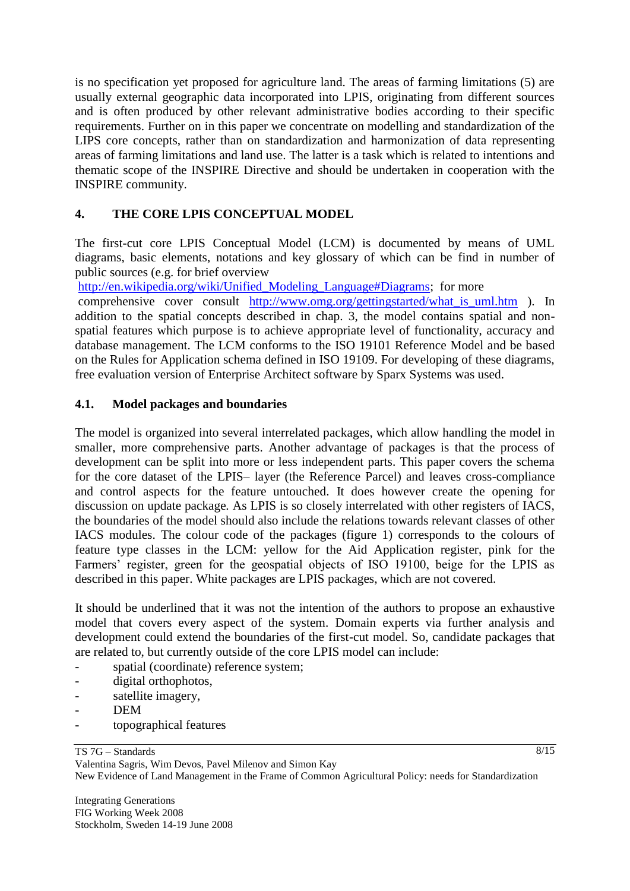is no specification yet proposed for agriculture land. The areas of farming limitations (5) are usually external geographic data incorporated into LPIS, originating from different sources and is often produced by other relevant administrative bodies according to their specific requirements. Further on in this paper we concentrate on modelling and standardization of the LIPS core concepts, rather than on standardization and harmonization of data representing areas of farming limitations and land use. The latter is a task which is related to intentions and thematic scope of the INSPIRE Directive and should be undertaken in cooperation with the INSPIRE community.

## **4. THE CORE LPIS CONCEPTUAL MODEL**

The first-cut core LPIS Conceptual Model (LCM) is documented by means of UML diagrams, basic elements, notations and key glossary of which can be find in number of public sources (e.g. for brief overview

http://en.wikipedia.org/wiki/Unified Modeling Language#Diagrams; for more

comprehensive cover consult [http://www.omg.org/gettingstarted/what\\_is\\_uml.htm](http://www.omg.org/gettingstarted/what_is_uml.htm) ). In addition to the spatial concepts described in chap. 3, the model contains spatial and nonspatial features which purpose is to achieve appropriate level of functionality, accuracy and database management. The LCM conforms to the ISO 19101 Reference Model and be based on the Rules for Application schema defined in ISO 19109. For developing of these diagrams, free evaluation version of Enterprise Architect software by Sparx Systems was used.

### **4.1. Model packages and boundaries**

The model is organized into several interrelated packages, which allow handling the model in smaller, more comprehensive parts. Another advantage of packages is that the process of development can be split into more or less independent parts. This paper covers the schema for the core dataset of the LPIS– layer (the Reference Parcel) and leaves cross-compliance and control aspects for the feature untouched. It does however create the opening for discussion on update package*.* As LPIS is so closely interrelated with other registers of IACS, the boundaries of the model should also include the relations towards relevant classes of other IACS modules. The colour code of the packages (figure 1) corresponds to the colours of feature type classes in the LCM: yellow for the Aid Application register, pink for the Farmers' register, green for the geospatial objects of ISO 19100, beige for the LPIS as described in this paper. White packages are LPIS packages, which are not covered.

It should be underlined that it was not the intention of the authors to propose an exhaustive model that covers every aspect of the system. Domain experts via further analysis and development could extend the boundaries of the first-cut model. So, candidate packages that are related to, but currently outside of the core LPIS model can include:

- spatial (coordinate) reference system;
- digital orthophotos,
- satellite imagery,
- DEM
- topographical features

TS 7G – Standards

8/15

Valentina Sagris, Wim Devos, Pavel Milenov and Simon Kay New Evidence of Land Management in the Frame of Common Agricultural Policy: needs for Standardization

Integrating Generations FIG Working Week 2008 Stockholm, Sweden 14-19 June 2008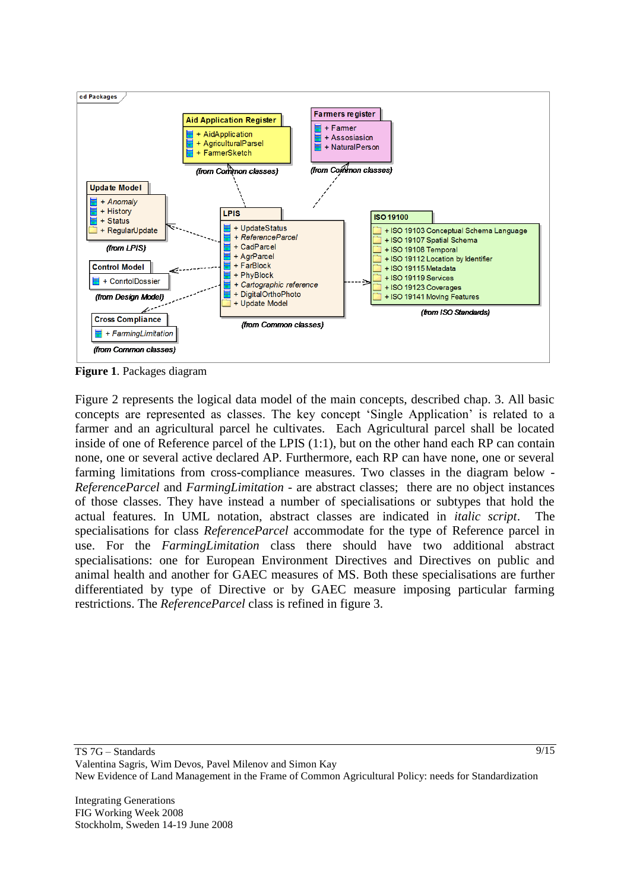

**Figure 1**. Packages diagram

Figure 2 represents the logical data model of the main concepts, described chap. 3. All basic concepts are represented as classes. The key concept "Single Application" is related to a farmer and an agricultural parcel he cultivates. Each Agricultural parcel shall be located inside of one of Reference parcel of the LPIS (1:1), but on the other hand each RP can contain none, one or several active declared AP. Furthermore, each RP can have none, one or several farming limitations from cross-compliance measures. Two classes in the diagram below - *ReferenceParcel* and *FarmingLimitation* - are abstract classes; there are no object instances of those classes. They have instead a number of specialisations or subtypes that hold the actual features. In UML notation, abstract classes are indicated in *italic script*. The specialisations for class *ReferenceParcel* accommodate for the type of Reference parcel in use. For the *FarmingLimitation* class there should have two additional abstract specialisations: one for European Environment Directives and Directives on public and animal health and another for GAEC measures of MS. Both these specialisations are further differentiated by type of Directive or by GAEC measure imposing particular farming restrictions. The *ReferenceParcel* class is refined in figure 3.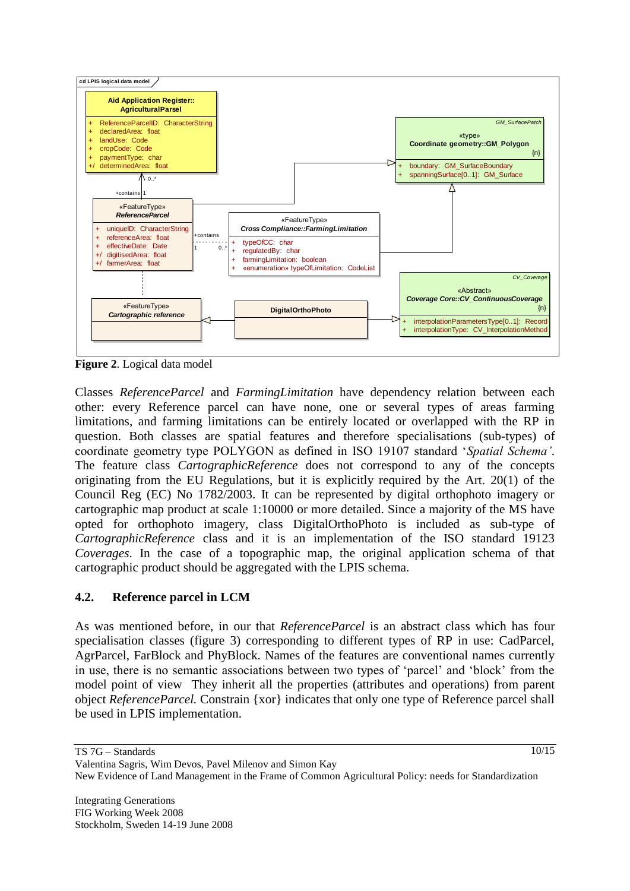

**Figure 2**. Logical data model

Classes *ReferenceParcel* and *FarmingLimitation* have dependency relation between each other: every Reference parcel can have none, one or several types of areas farming limitations, and farming limitations can be entirely located or overlapped with the RP in question. Both classes are spatial features and therefore specialisations (sub-types) of coordinate geometry type POLYGON as defined in ISO 19107 standard "*Spatial Schema'*. The feature class *CartographicReference* does not correspond to any of the concepts originating from the EU Regulations, but it is explicitly required by the Art. 20(1) of the Council Reg (EC) No 1782/2003. It can be represented by digital orthophoto imagery or cartographic map product at scale 1:10000 or more detailed. Since a majority of the MS have opted for orthophoto imagery, class DigitalOrthoPhoto is included as sub-type of *CartographicReference* class and it is an implementation of the ISO standard 19123 *Coverages*. In the case of a topographic map, the original application schema of that cartographic product should be aggregated with the LPIS schema.

## **4.2. Reference parcel in LCM**

As was mentioned before, in our that *ReferenceParcel* is an abstract class which has four specialisation classes (figure 3) corresponding to different types of RP in use: CadParcel, AgrParcel, FarBlock and PhyBlock. Names of the features are conventional names currently in use, there is no semantic associations between two types of "parcel" and "block" from the model point of view They inherit all the properties (attributes and operations) from parent object *ReferenceParcel.* Constrain {xor} indicates that only one type of Reference parcel shall be used in LPIS implementation.

TS 7G – Standards Valentina Sagris, Wim Devos, Pavel Milenov and Simon Kay New Evidence of Land Management in the Frame of Common Agricultural Policy: needs for Standardization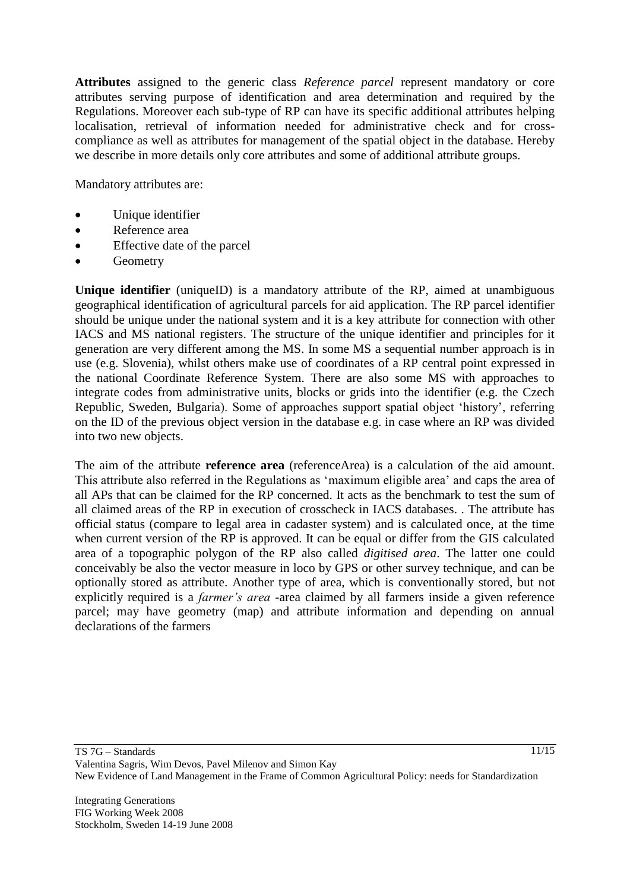**Attributes** assigned to the generic class *Reference parcel* represent mandatory or core attributes serving purpose of identification and area determination and required by the Regulations. Moreover each sub-type of RP can have its specific additional attributes helping localisation, retrieval of information needed for administrative check and for crosscompliance as well as attributes for management of the spatial object in the database. Hereby we describe in more details only core attributes and some of additional attribute groups.

Mandatory attributes are:

- Unique identifier
- Reference area
- Effective date of the parcel
- Geometry

**Unique identifier** (uniqueID) is a mandatory attribute of the RP, aimed at unambiguous geographical identification of agricultural parcels for aid application. The RP parcel identifier should be unique under the national system and it is a key attribute for connection with other IACS and MS national registers. The structure of the unique identifier and principles for it generation are very different among the MS. In some MS a sequential number approach is in use (e.g. Slovenia), whilst others make use of coordinates of a RP central point expressed in the national Coordinate Reference System. There are also some MS with approaches to integrate codes from administrative units, blocks or grids into the identifier (e.g. the Czech Republic, Sweden, Bulgaria). Some of approaches support spatial object "history", referring on the ID of the previous object version in the database e.g. in case where an RP was divided into two new objects.

The aim of the attribute **reference area** (referenceArea) is a calculation of the aid amount. This attribute also referred in the Regulations as "maximum eligible area" and caps the area of all APs that can be claimed for the RP concerned. It acts as the benchmark to test the sum of all claimed areas of the RP in execution of crosscheck in IACS databases. . The attribute has official status (compare to legal area in cadaster system) and is calculated once, at the time when current version of the RP is approved. It can be equal or differ from the GIS calculated area of a topographic polygon of the RP also called *digitised area*. The latter one could conceivably be also the vector measure in loco by GPS or other survey technique, and can be optionally stored as attribute. Another type of area, which is conventionally stored, but not explicitly required is a *farmer's area* -area claimed by all farmers inside a given reference parcel; may have geometry (map) and attribute information and depending on annual declarations of the farmers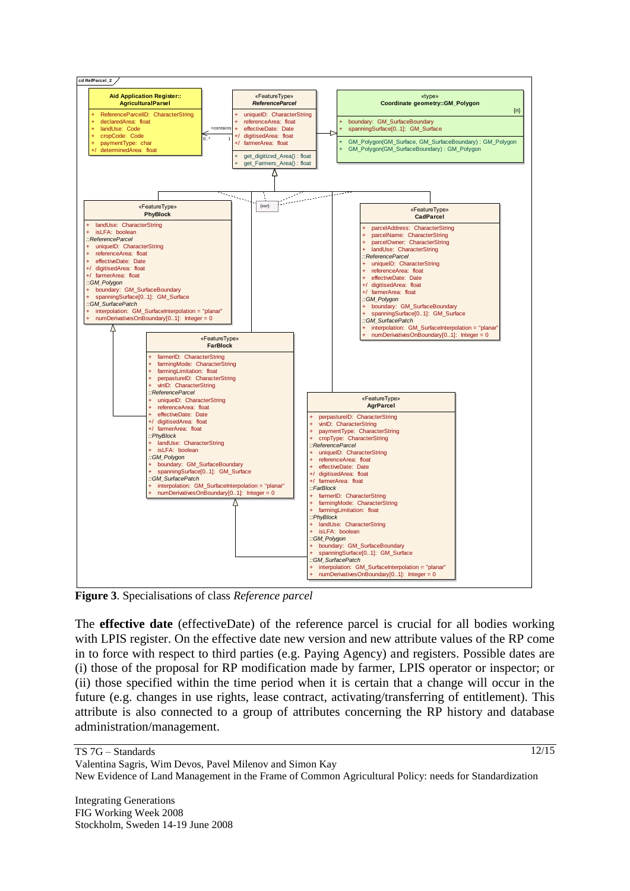

**Figure 3**. Specialisations of class *Reference parcel*

The **effective date** (effectiveDate) of the reference parcel is crucial for all bodies working with LPIS register. On the effective date new version and new attribute values of the RP come in to force with respect to third parties (e.g. Paying Agency) and registers. Possible dates are (i) those of the proposal for RP modification made by farmer, LPIS operator or inspector; or (ii) those specified within the time period when it is certain that a change will occur in the future (e.g. changes in use rights, lease contract, activating/transferring of entitlement). This attribute is also connected to a group of attributes concerning the RP history and database administration/management.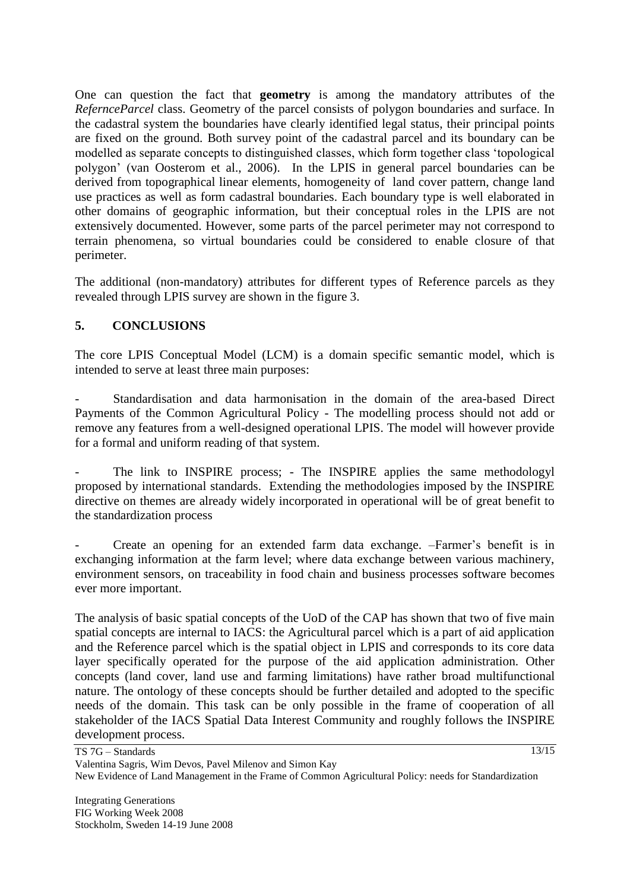One can question the fact that **geometry** is among the mandatory attributes of the *RefernceParcel* class. Geometry of the parcel consists of polygon boundaries and surface. In the cadastral system the boundaries have clearly identified legal status, their principal points are fixed on the ground. Both survey point of the cadastral parcel and its boundary can be modelled as separate concepts to distinguished classes, which form together class "topological polygon" (van Oosterom et al., 2006). In the LPIS in general parcel boundaries can be derived from topographical linear elements, homogeneity of land cover pattern, change land use practices as well as form cadastral boundaries. Each boundary type is well elaborated in other domains of geographic information, but their conceptual roles in the LPIS are not extensively documented. However, some parts of the parcel perimeter may not correspond to terrain phenomena, so virtual boundaries could be considered to enable closure of that perimeter.

The additional (non-mandatory) attributes for different types of Reference parcels as they revealed through LPIS survey are shown in the figure 3.

### **5. CONCLUSIONS**

The core LPIS Conceptual Model (LCM) is a domain specific semantic model, which is intended to serve at least three main purposes:

- Standardisation and data harmonisation in the domain of the area-based Direct Payments of the Common Agricultural Policy - The modelling process should not add or remove any features from a well-designed operational LPIS. The model will however provide for a formal and uniform reading of that system.

The link to INSPIRE process; - The INSPIRE applies the same methodologyl proposed by international standards. Extending the methodologies imposed by the INSPIRE directive on themes are already widely incorporated in operational will be of great benefit to the standardization process

- Create an opening for an extended farm data exchange. –Farmer"s benefit is in exchanging information at the farm level; where data exchange between various machinery, environment sensors, on traceability in food chain and business processes software becomes ever more important.

The analysis of basic spatial concepts of the UoD of the CAP has shown that two of five main spatial concepts are internal to IACS: the Agricultural parcel which is a part of aid application and the Reference parcel which is the spatial object in LPIS and corresponds to its core data layer specifically operated for the purpose of the aid application administration. Other concepts (land cover, land use and farming limitations) have rather broad multifunctional nature. The ontology of these concepts should be further detailed and adopted to the specific needs of the domain. This task can be only possible in the frame of cooperation of all stakeholder of the IACS Spatial Data Interest Community and roughly follows the INSPIRE development process.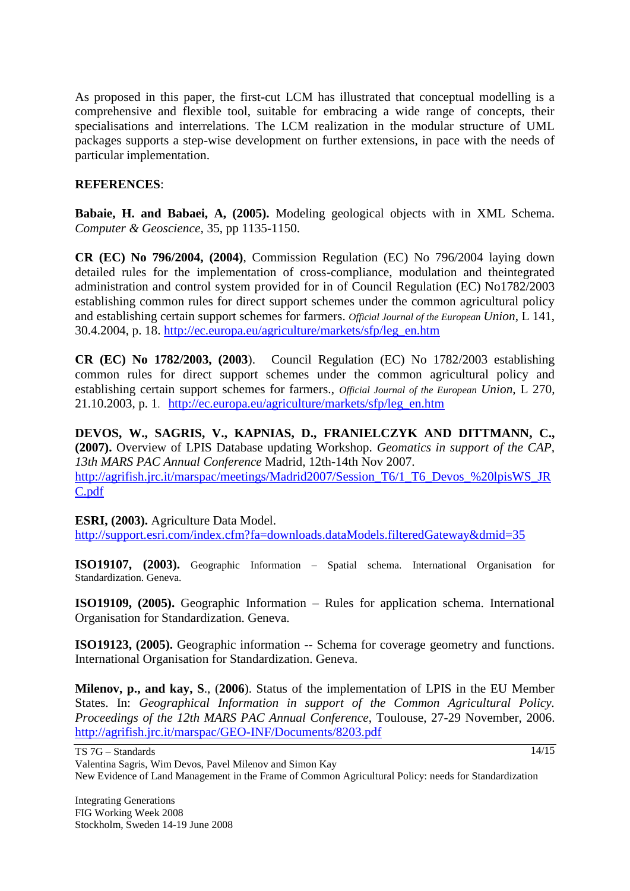As proposed in this paper, the first-cut LCM has illustrated that conceptual modelling is a comprehensive and flexible tool, suitable for embracing a wide range of concepts, their specialisations and interrelations. The LCM realization in the modular structure of UML packages supports a step-wise development on further extensions, in pace with the needs of particular implementation.

### **REFERENCES**:

**Babaie, H. and Babaei, A, (2005).** Modeling geological objects with in XML Schema. *Computer & Geoscience,* 35, pp 1135-1150.

**CR (EC) No 796/2004, (2004)**, Commission Regulation (EC) No 796/2004 laying down detailed rules for the implementation of cross-compliance, modulation and theintegrated administration and control system provided for in of Council Regulation (EC) No1782/2003 establishing common rules for direct support schemes under the common agricultural policy and establishing certain support schemes for farmers. *Official Journal of the European Union*, L 141, 30.4.2004, p. 18. [http://ec.europa.eu/agriculture/markets/sfp/leg\\_en.htm](http://ec.europa.eu/agriculture/markets/sfp/leg_en.htm)

**CR (EC) No 1782/2003, (2003**). Council Regulation (EC) No 1782/2003 establishing common rules for direct support schemes under the common agricultural policy and establishing certain support schemes for farmers., *Official Journal of the European Union*, L 270, 21.10.2003, p. 1. [http://ec.europa.eu/agriculture/markets/sfp/leg\\_en.htm](http://ec.europa.eu/agriculture/markets/sfp/leg_en.htm)

**DEVOS, W., SAGRIS, V., KAPNIAS, D., FRANIELCZYK AND DITTMANN, C., (2007).** Overview of LPIS Database updating Workshop. *Geomatics in support of the CAP, 13th MARS PAC Annual Conference* Madrid, 12th-14th Nov 2007. [http://agrifish.jrc.it/marspac/meetings/Madrid2007/Session\\_T6/1\\_T6\\_Devos\\_%20lpisWS\\_JR](http://agrifish.jrc.it/marspac/meetings/Madrid2007/Session_T6/1_T6_Devos_%20lpisWS_JRC.pdf) [C.pdf](http://agrifish.jrc.it/marspac/meetings/Madrid2007/Session_T6/1_T6_Devos_%20lpisWS_JRC.pdf)

#### **ESRI, (2003).** Agriculture Data Model.

<http://support.esri.com/index.cfm?fa=downloads.dataModels.filteredGateway&dmid=35>

**ISO19107, (2003).** Geographic Information – Spatial schema. International Organisation for Standardization. Geneva.

**ISO19109, (2005).** Geographic Information – Rules for application schema. International Organisation for Standardization. Geneva.

**ISO19123, (2005).** Geographic information -- Schema for coverage geometry and functions. International Organisation for Standardization. Geneva.

**Milenov, p., and kay, S**., (**2006**). Status of the implementation of LPIS in the EU Member States. In: *Geographical Information in support of the Common Agricultural Policy. Proceedings of the 12th MARS PAC Annual Conference*, Toulouse, 27-29 November, 2006. <http://agrifish.jrc.it/marspac/GEO-INF/Documents/8203.pdf>